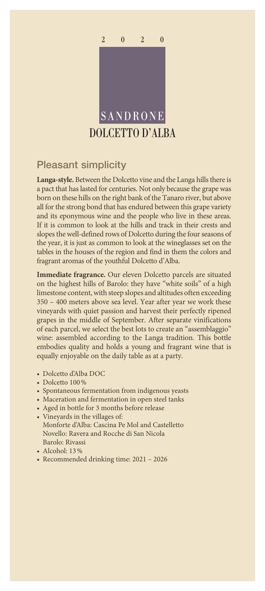

## Pleasant simplicity

**Langa-style.** Between the Dolcetto vine and the Langa hills there is a pact that has lasted for centuries. Not only because the grape was born on these hills on the right bank of the Tanaro river, but above all for the strong bond that has endured between this grape variety and its eponymous wine and the people who live in these areas. If it is common to look at the hills and track in their crests and slopes the well-defined rows of Dolcetto during the four seasons of the year, it is just as common to look at the wineglasses set on the tables in the houses of the region and find in them the colors and fragrant aromas of the youthful Dolcetto d'Alba.

**Immediate fragrance.** Our eleven Dolcetto parcels are situated on the highest hills of Barolo: they have "white soils" of a high limestone content, with steep slopes and altitudes often exceeding 350 – 400 meters above sea level. Year after year we work these vineyards with quiet passion and harvest their perfectly ripened grapes in the middle of September. After separate vinifications of each parcel, we select the best lots to create an "assemblaggio" wine: assembled according to the Langa tradition. This bottle embodies quality and holds a young and fragrant wine that is equally enjoyable on the daily table as at a party.

- Dolcetto d'Alba DOC
- Dolcetto 100%
- Spontaneous fermentation from indigenous yeasts
- Maceration and fermentation in open steel tanks
- Aged in bottle for 3 months before release
- Vineyards in the villages of: Monforte d'Alba: Cascina Pe Mol and Castelletto Novello: Ravera and Rocche di San Nicola Barolo: Rivassi
- Alcohol: 13%
- Recommended drinking time: 2021 2026